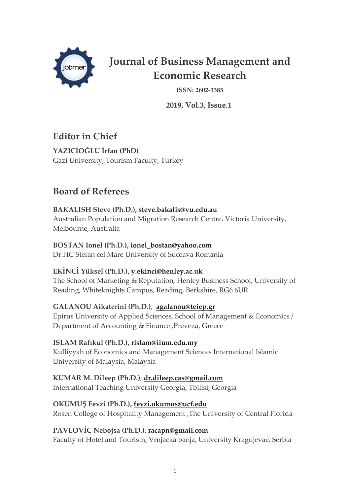

# **Journal of Business Management and Economic Research**

**ISSN: 2602-3385**

 **2019, Vol.3, Issue.1**

## **Editor in Chief**

**YAZICIOĞLU İrfan (PhD)** Gazi University, Tourism Faculty, Turkey

## **Board of Referees**

### **BAKALISH Steve (Ph.D.), steve.bakalis@vu.edu.au**

Australian Population and Migration Research Centre, Victoria University, Melbourne, Australia

### **BOSTAN Ionel (Ph.D.), ionel\_bostan@yahoo.com**

Dr.HC Stefan cel Mare University of Suceava Romania

### **EKİNCİ Yüksel (Ph.D.), y.ekinci@henley.ac.uk**

The School of Marketing & Reputation, Henley Business School, University of Reading, Whiteknights Campus, Reading, Berkshire, RG6 6UR

### **GALANOU Aikaterini (Ph.D.)**, **agalanou@teiep.gr**

Epirus University of Applied Sciences, School of Management & Economics / Department of Accounting & Finance ,Preveza, Greece

### **ISLAM Rafıkul (Ph.D.), rislam@iium.edu.my**

Kulliyyah of Economics and Management Sciences International Islamic University of Malaysia, Malaysia

#### **KUMAR M. Dileep (Ph.D.)**, **dr.dileep.cas@gmail.com** International Teaching University Georgia, Tbilisi, Georgia

### **OKUMUŞ Fevzi (Ph.D.), fevzi.okumus@ucf.edu**

Rosen College of Hospitality Management ,The University of Central Florida

### **PAVLOVİC Nebojsa (Ph.D.), racapn@gmail.com**

Faculty of Hotel and Tourism, Vrnjacka banja, University Kragujevac, Serbia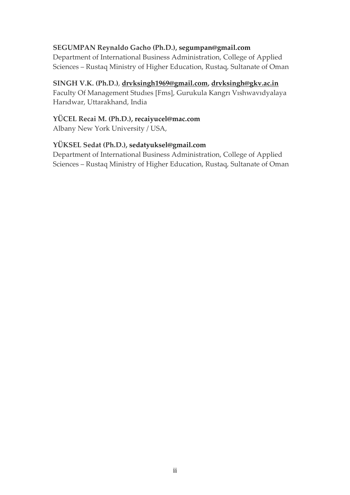#### **SEGUMPAN Reynaldo Gacho (Ph.D.), segumpan@gmail.com**

Department of International Business Administration, College of Applied Sciences – Rustaq Ministry of Higher Education, Rustaq, Sultanate of Oman

#### **SINGH V.K. (Ph.D.)**, **drvksingh1969@gmail.com, drvksingh@gkv.ac.in**

Faculty Of Management Studıes [Fms], Gurukula Kangrı Vıshwavıdyalaya Harıdwar, Uttarakhand, India

#### **YÜCEL Recai M. (Ph.D.), recaiyucel@mac.com**

Albany New York University / USA,

#### **YÜKSEL Sedat (Ph.D.), sedatyuksel@gmail.com**

Department of International Business Administration, College of Applied Sciences – Rustaq Ministry of Higher Education, Rustaq, Sultanate of Oman